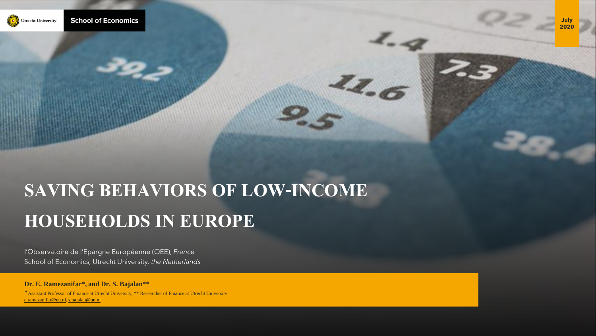

# **SAVING BEHAVIORS OF LOW-INCOME HOUSEHOLDS IN EUROPE**

 $\frac{Z_{Z}}{Z_{0}}$ 

l'Observatoire de l'Epargne Européenne (OEE), *France* School of Economics, Utrecht University*, the Netherlands*

## **Dr. E. Ramezanifar\*, and Dr. S. Bajalan\*\***

\*Assistant Professor of Finance at Utrecht University, \*\* Researcher of Finance at Utrecht University [e.ramezanifar@uu.nl](mailto:e.ramezanifar@uu.nl), [s.bajalan@uu.nl](mailto:s.bajalan@uu.nl)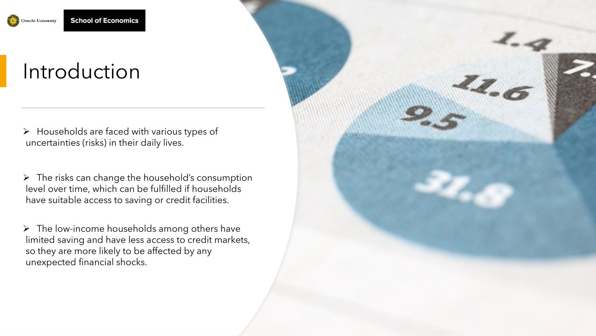

## Introduction

 $\triangleright$  Households are faced with various types of uncertainties (risks) in their daily lives.

 $\triangleright$  The risks can change the household's consumption level over time, which can be fulfilled if households have suitable access to saving or credit facilities.

➢ The low-income households among others have limited saving and have less access to credit markets, so they are more likely to be affected by any unexpected financial shocks.

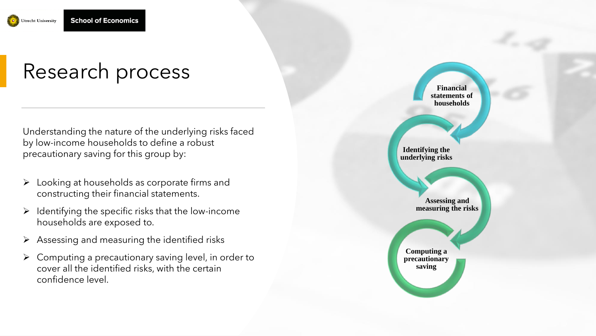

# Research process

Understanding the nature of the underlying risks faced by low -income households to define a robust precautionary saving for this group by:

- ➢ Looking at households as corporate firms and constructing their financial statements.
- $\triangleright$  Identifying the specific risks that the low-income households are exposed to.
- $\triangleright$  Assessing and measuring the identified risks
- $\triangleright$  Computing a precautionary saving level, in order to cover all the identified risks, with the certain confidence level.

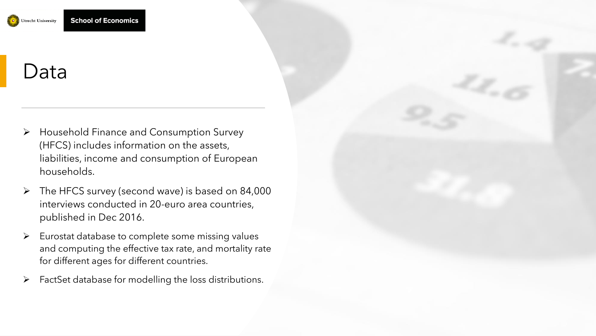

## Data

- ➢ Household Finance and Consumption Survey (HFCS) includes information on the assets, liabilities, income and consumption of European households.
- $\triangleright$  The HFCS survey (second wave) is based on 84,000 interviews conducted in 20-euro area countries, published in Dec 2016.
- ➢ Eurostat database to complete some missing values and computing the effective tax rate, and mortality rate for different ages for different countries.
- $\triangleright$  FactSet database for modelling the loss distributions.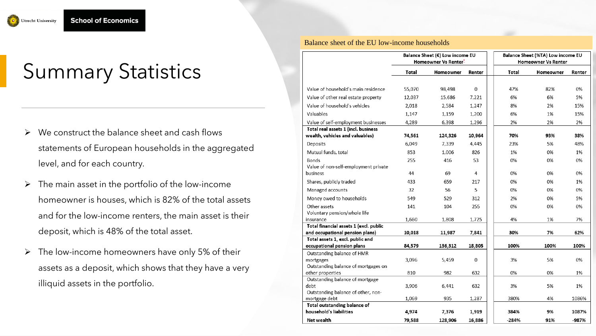

# Summary Statistics

- $\triangleright$  We construct the balance sheet and cash flows statements of European households in the aggregated level, and for each country.
- $\triangleright$  The main asset in the portfolio of the low-income homeowner is houses, which is 82% of the total assets and for the low-income renters, the main asset is their deposit, which is 48% of the total asset.
- $\triangleright$  The low-income homeowners have only 5% of their assets as a deposit, which shows that they have a very illiquid assets in the portfolio.

#### Balance sheet of the EU low-income households

|                                         | Balance Sheet (€) Low income EU<br>Homeowner Vs Renter- |           |          |       | Balance Sheet (%TA) Low income EU<br><b>Homeowner Vs Renter</b> |        |  |
|-----------------------------------------|---------------------------------------------------------|-----------|----------|-------|-----------------------------------------------------------------|--------|--|
|                                         | Total                                                   | Homeowner | Renter   | Total | Homeowner                                                       | Renter |  |
| Value of household's main residence     | 55,070                                                  | 98,498    | $\Omega$ | 47%   | 82%                                                             | 0%     |  |
| Value of other real estate property     | 12,037                                                  | 15,686    | 7,221    | 6%    | 6%                                                              | 5%     |  |
| Value of household's vehicles           |                                                         |           |          |       |                                                                 |        |  |
|                                         | 2,018                                                   | 2,584     | 1,247    | 8%    | 2%                                                              | 15%    |  |
| Valuables                               | 1,147                                                   | 1,159     | 1,200    | 6%    | 1%                                                              | 15%    |  |
| Value of self-employment businesses     | 4,289                                                   | 6,398     | 1,296    | 2%    | 2%                                                              | 2%     |  |
| Total real assets 1 (incl. business     |                                                         |           |          |       |                                                                 |        |  |
| wealth, vehicles and valuables)         | 74,561                                                  | 124,326   | 10,964   | 70%   | 93%                                                             | 38%    |  |
| Deposits                                | 6,049                                                   | 7,339     | 4,445    | 23%   | 5%                                                              | 48%    |  |
| Mutual funds, total                     | 853                                                     | 1,006     | 826      | 1%    | 0%                                                              | 1%     |  |
| Bonds                                   | 255                                                     | 416       | 53       | 0%    | 0%                                                              | 0%     |  |
| Value of non-self-employment private    |                                                         |           |          |       |                                                                 |        |  |
| business                                | 44                                                      | 69        | 4        | 0%    | 0%                                                              | 0%     |  |
| Shares, publicly traded                 | 433                                                     | 659       | 217      | 0%    | 0%                                                              | 1%     |  |
| Managed accounts                        | 32                                                      | 56        | 5        | 0%    | 0%                                                              | 0%     |  |
| Money owed to households                | 549                                                     | 529       | 312      | 2%    | 0%                                                              | 5%     |  |
| Other assets                            | 141                                                     | 104       | 255      | 0%    | 0%                                                              | 0%     |  |
| Voluntary pension/whole life            |                                                         |           |          |       |                                                                 |        |  |
| insurance                               | 1,660                                                   | 1,808     | 1,725    | 4%    | 1%                                                              | 7%     |  |
| Total financial assets 1 (excl. public  |                                                         |           |          |       |                                                                 |        |  |
| and occupational pension plans)         | 10,018                                                  | 11,987    | 7,841    | 30%   | 7%                                                              | 62%    |  |
| Total assets 1, excl. public and        |                                                         |           |          |       |                                                                 |        |  |
| occupational pension plans              | 84,579                                                  | 136,312   | 18,805   | 100%  | 100%                                                            | 100%   |  |
| Outstanding balance of HMR              |                                                         |           |          |       |                                                                 |        |  |
| mortgages                               | 3,096                                                   | 5,459     | 0        | 3%    | 5%                                                              | 0%     |  |
| Outstanding balance of mortgages on     |                                                         |           |          |       |                                                                 |        |  |
| other properties                        | 810                                                     | 982       | 632      | 0%    | 0%                                                              | 1%     |  |
| Outstanding balance of mortgage<br>debt | 3,906                                                   |           | 632      | 3%    | 5%                                                              | 1%     |  |
| Outstanding balance of other, non-      |                                                         | 6,441     |          |       |                                                                 |        |  |
| mortgage debt                           | 1,069                                                   | 935       | 1,287    | 380%  | 4%                                                              | 1086%  |  |
| Total outstanding balance of            |                                                         |           |          |       |                                                                 |        |  |
| household's liabilities                 | 4,974                                                   | 7,376     | 1,919    | 384%  | 9%                                                              | 1087%  |  |
| Net wealth                              | 79,588                                                  | 128,906   | 16,886   | -284% | 91%                                                             | -987%  |  |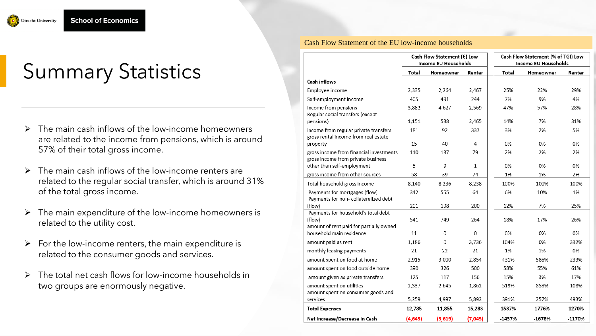

# Summary Statistics

- $\triangleright$  The main cash inflows of the low-income homeowners are related to the income from pensions, which is around 57% of their total gross income.
- The main cash inflows of the low-income renters are related to the regular social transfer, which is around 31% of the total gross income.
- $\triangleright$  The main expenditure of the low-income homeowners is related to the utility cost.
- $\triangleright$  For the low-income renters, the main expenditure is related to the consumer goods and services.
- ➢ The total net cash flows for low-income households in two groups are enormously negative.

## Cash Flow Statement of the EU low-income households

|                                                                                          | Cash Flow Statement (€) Low<br>Income EU Households |           |              | Cash Flow Statement (% of TGI) Low<br><b>Income EU Households</b> |           |          |
|------------------------------------------------------------------------------------------|-----------------------------------------------------|-----------|--------------|-------------------------------------------------------------------|-----------|----------|
|                                                                                          | Total                                               | Homeowner | Renter       | Total                                                             | Homeowner | Renter   |
| Cash inflows                                                                             |                                                     |           |              |                                                                   |           |          |
| Employee income                                                                          | 2,335                                               | 2,264     | 2.467        | 25%                                                               | 22%       | 29%      |
| Self-employment income                                                                   | 405                                                 | 491       | 244          | 7%                                                                | 9%        | 4%       |
| Income from pensions<br>Regular social transfers (except                                 | 3,882                                               | 4,627     | 2,569        | 47%                                                               | 57%       | 28%      |
| pensions)                                                                                | 1,151                                               | 538       | 2,465        | 14%                                                               | 7%        | 31%      |
| income from regular private transfers<br>gross rental income from real estate            | 181                                                 | 92        | 337          | 3%                                                                | 2%        | 5%       |
| property                                                                                 | 15                                                  | 40        | 4            | 0%                                                                | 0%        | 0%       |
| gross income from financial investments<br>gross income from private business            | 110                                                 | 137       | 79           | 2%                                                                | 2%        | 2%       |
| other than self-employment                                                               | 5                                                   | 9         | $\mathbf{1}$ | 0%                                                                | 0%        | 0%       |
| gross income from other sources                                                          | 58                                                  | 39        | 74           | 1%                                                                | 1%        | 2%       |
| Total household gross income                                                             | 8,140                                               | 8,236     | 8,238        | 100%                                                              | 100%      | 100%     |
| Payments for mortgages (flow)<br>Payments for non- collateralized debt                   | 342                                                 | 555       | 64           | 6%                                                                | 10%       | 1%       |
| (flow)                                                                                   | 201                                                 | 198       | 200          | 12%                                                               | 7%        | 25%      |
| Payments for household's total debt<br>(flow)<br>amount of rent paid for partially owned | 541                                                 | 749       | 264          | 18%                                                               | 17%       | 26%      |
| household main residence                                                                 | 11                                                  | 0         | $\Omega$     | 0%                                                                | 0%        | 0%       |
| amount paid as rent                                                                      | 1,186                                               | 0         | 3,736        | 104%                                                              | 0%        | 332%     |
| monthly leasing payments                                                                 | 21                                                  | 22        | 21           | 1%                                                                | 1%        | 0%       |
| amount spent on food at home                                                             | 2,915                                               | 3,000     | 2,854        | 431%                                                              | 586%      | 233%     |
| amount spent on food outside home                                                        | 390                                                 | 326       | 500          | 58%                                                               | 55%       | 61%      |
| amount given as private transfers                                                        | 125                                                 | 117       | 156          | 15%                                                               | 3%        | 17%      |
| amount spent on utilities<br>amount spent on consumer goods and                          | 2,337                                               | 2,645     | 1,862        | 519%                                                              | 858%      | 108%     |
| services                                                                                 | 5,259                                               | 4,997     | 5,892        | 391%                                                              | 257%      | 493%     |
| <b>Total Expenses</b>                                                                    | 12,785                                              | 11,855    | 15,283       | 1537%                                                             | 1776%     | 1270%    |
| Net Increase/Decrease in Cash                                                            | (4, 645)                                            | (3,619)   | (7,045)      | $-1437%$                                                          | $-1676%$  | $-1170%$ |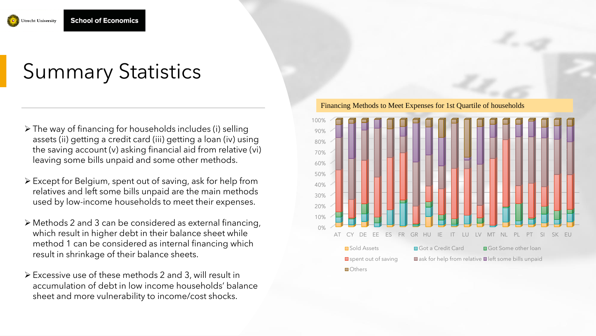

# Summary Statistics

- ➢ The way of financing for households includes (i) selling assets (ii) getting a credit card (iii) getting a loan (iv) using the saving account (v) asking financial aid from relative (vi) leaving some bills unpaid and some other methods.
- ➢ Except for Belgium, spent out of saving, ask for help from relatives and left some bills unpaid are the main methods used by low-income households to meet their expenses.
- ➢ Methods 2 and 3 can be considered as external financing, which result in higher debt in their balance sheet while method 1 can be considered as internal financing which result in shrinkage of their balance sheets.
- ➢ Excessive use of these methods 2 and 3, will result in accumulation of debt in low income households' balance sheet and more vulnerability to income/cost shocks.

0% 10% 20% 30% 40% 50% 60% 70% 80% 90% 100% AT CY DE EE ES FR GR HU IE IT LU LV MT NL PL PT SI SK EU ■Sold Assets Got a Credit Card Got Some other loan  $\square$  spent out of saving  $\square$  ask for help from relative  $\square$  left some bills unpaid **Others** 

Financing Methods to Meet Expenses for 1st Quartile of households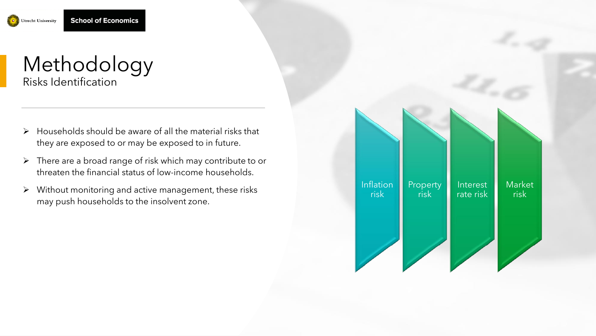



- $\triangleright$  Households should be aware of all the material risks that they are exposed to or may be exposed to in future.
- $\triangleright$  There are a broad range of risk which may contribute to or threaten the financial status of low-income households.
- ➢ Without monitoring and active management, these risks may push households to the insolvent zone.

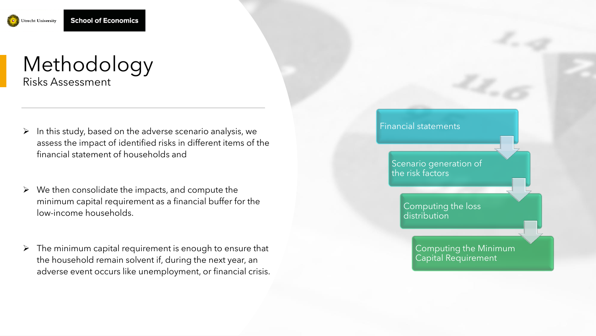

## Methodology Risks Assessment

- $\triangleright$  In this study, based on the adverse scenario analysis, we assess the impact of identified risks in different items of the financial statement of households and
- $\triangleright$  We then consolidate the impacts, and compute the minimum capital requirement as a financial buffer for the low-income households.
- $\triangleright$  The minimum capital requirement is enough to ensure that the household remain solvent if, during the next year, an adverse event occurs like unemployment, or financial crisis.

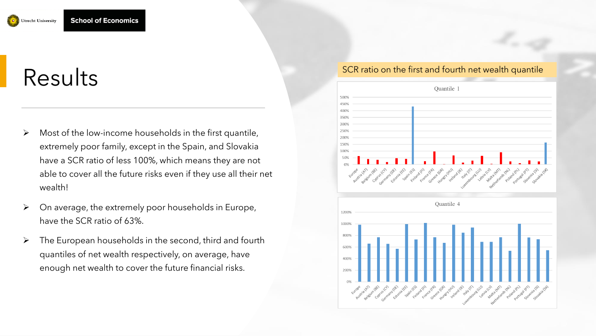

# Results

- ➢ Most of the low-income households in the first quantile, extremely poor family, except in the Spain, and Slovakia have a SCR ratio of less 100%, which means they are not able to cover all the future risks even if they use all their net wealth!
- ➢ On average, the extremely poor households in Europe, have the SCR ratio of 63%.
- $\triangleright$  The European households in the second, third and fourth quantiles of net wealth respectively, on average, have enough net wealth to cover the future financial risks.

## SCR ratio on the first and fourth net wealth quantile

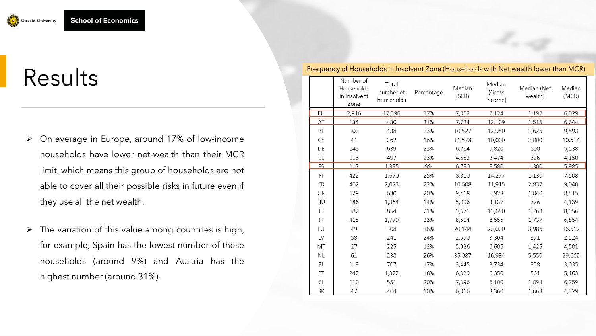

# Results

- ➢ On average in Europe, around 17% of low-income households have lower net-wealth than their MCR limit, which means this group of households are not able to cover all their possible risks in future even if they use all the net wealth.
- $\triangleright$  The variation of this value among countries is high, for example, Spain has the lowest number of these households (around 9%) and Austria has the highest number (around 31%).

|          | Number of<br>Households<br>in Insolvent<br>Zone | Total<br>number of<br>households | Percentage | Median<br>(SCR) | Median<br>(Gross<br>income) | Median (Net<br>wealth) | Median<br>(MCR) |
|----------|-------------------------------------------------|----------------------------------|------------|-----------------|-----------------------------|------------------------|-----------------|
| EU       | 2,916                                           | 17,396                           | 17%        | 7,062           | 7,124                       | 1,192                  | 6,029           |
| AT       | 134                                             | 430                              | 31%        | 7.724           | 12.109                      | 1.515                  | 6,644           |
| BE       | 102                                             | 438                              | 23%        | 10,527          | 12,950                      | 1,625                  | 9,593           |
| CY       | 41                                              | 262                              | 16%        | 11,578          | 10,000                      | 2,000                  | 10,514          |
| DE       | 148                                             | 639                              | 23%        | 6,784           | 9,820                       | 800                    | 5,538           |
| EE       | 116                                             | 497                              | 23%        | 4,652           | 3,474                       | 326                    | 4,150           |
| ES       | 117                                             | 1.335                            | 9%         | 6,780           | 8,580                       | 1,300                  | 5,985           |
| FI       | 422                                             | 1,670                            | 25%        | 8,810           | 14,277                      | 1,130                  | 7,508           |
| FR       | 462                                             | 2,073                            | 22%        | 10,608          | 11,915                      | 2,837                  | 9,040           |
| GR       | 129                                             | 630                              | 20%        | 9,468           | 5,923                       | 1,040                  | 8,515           |
| HU       | 186                                             | 1,364                            | 14%        | 5,006           | 3,137                       | 776                    | 4,139           |
| ΙE       | 182                                             | 854                              | 21%        | 9,671           | 13,680                      | 1,763                  | 8,956           |
| $\sf IT$ | 418                                             | 1,779                            | 23%        | 8,504           | 8,555                       | 1,737                  | 6,854           |
| LU       | 49                                              | 308                              | 16%        | 20,144          | 23,000                      | 3,986                  | 16,512          |
| LV       | 58                                              | 241                              | 24%        | 2,590           | 3,364                       | 371                    | 2,524           |
| МT       | 27                                              | 225                              | 12%        | 5,926           | 6,606                       | 1,425                  | 4,501           |
| ΝL       | 61                                              | 238                              | 26%        | 35,087          | 16,934                      | 5,550                  | 29,682          |
| PL       | 119                                             | 707                              | 17%        | 3,445           | 3,734                       | 358                    | 3,035           |
| PT       | 242                                             | 1,372                            | 18%        | 6,029           | 6,350                       | 561                    | 5,163           |
| SI       | 110                                             | 551                              | 20%        | 7,396           | 6,100                       | 1,094                  | 6,759           |
| SK       | 47                                              | 464                              | 10%        | 6,016           | 3,360                       | 1,663                  | 4,329           |

Frequency of Households in Insolvent Zone (Households with Net wealth lower than MCR)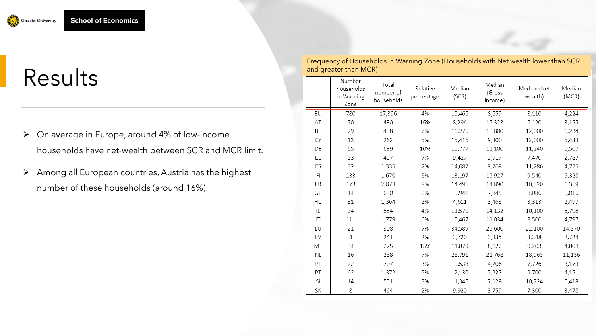

# Results

- ➢ On average in Europe, around 4% of low-income households have net-wealth between SCR and MCR limit.
- ➢ Among all European countries, Austria has the highest number of these households (around 16%).

Frequency of Households in Warning Zone (Households with Net wealth lower than SCR and greater than MCR)

|                        | Number<br>households<br>in Warning<br>Zone | Total<br>number of<br>households | Relative<br>percentage | Median<br>(SCR) | Median<br>(Gross<br>income) | Median (Net<br>wealth) | Median<br>(MCR) |
|------------------------|--------------------------------------------|----------------------------------|------------------------|-----------------|-----------------------------|------------------------|-----------------|
| EU                     | 780                                        | 17,396                           | 4%                     | 10,466          | 8,659                       | 8,110                  | 4,224           |
| AT                     | 70                                         | 430                              | 16%                    | 8,294           | 15,323                      | 6,120                  | 3,155           |
| BE                     | 29                                         | 438                              | 7%                     | 16,276          | 18,800                      | 12,000                 | 6,234           |
| CY                     | 13                                         | 262                              | 5%                     | 15,416          | 9,300                       | 12,000                 | 5,433           |
| DE                     | 65                                         | 639                              | 10%                    | 16,777          | 11,100                      | 11,240                 | 6,507           |
| EE                     | 33                                         | 497                              | 7%                     | 9,427           | 3,917                       | 7,470                  | 2,787           |
| ES                     | 32                                         | 1,335                            | 2%                     | 14,687          | 9,768                       | 11,286                 | 4,725           |
| F1                     | 133                                        | 1,670                            | 8%                     | 13,197          | 15,927                      | 9,540                  | 5,328           |
| FR                     | 173                                        | 2,073                            | 8%                     | 14,496          | 14,890                      | 10,520                 | 6,369           |
| GR                     | 14                                         | 630                              | 2%                     | 10,941          | 7,845                       | 8,086                  | 6,016           |
| HU                     | 31                                         | 1,364                            | 2%                     | 4,611           | 3,463                       | 3,313                  | 2,497           |
| ΙE                     | 34                                         | 854                              | 4%                     | 11,570          | 14,132                      | 10,100                 | 6,798           |
| $\mathsf{I}\mathsf{T}$ | 111                                        | 1,779                            | 6%                     | 10,467          | 11,034                      | 8,500                  | 4,797           |
| LU                     | 21                                         | 308                              | 7%                     | 34,589          | 25,600                      | 22,100                 | 14,870          |
| LV                     | $\overline{4}$                             | 241                              | 2%                     | 3,720           | 3,435                       | 3,348                  | 2,724           |
| МT                     | 34                                         | 225                              | 15%                    | 11,879          | 8,122                       | 9,203                  | 4,808           |
| <b>NL</b>              | 16                                         | 238                              | 7%                     | 28,791          | 21,768                      | 18,963                 | 11,136          |
| PL                     | 22                                         | 707                              | 3%                     | 10,538          | 4,206                       | 7,726                  | 3,173           |
| PT                     | 62                                         | 1,372                            | 5%                     | 12,130          | 7,227                       | 9,700                  | 4,151           |
| SI                     | 14                                         | 551                              | 3%                     | 11,346          | 7,128                       | 10,224                 | 5,418           |
| SK                     | 8                                          | 464                              | 2%                     | 9,920           | 3,759                       | 7,300                  | 3,478           |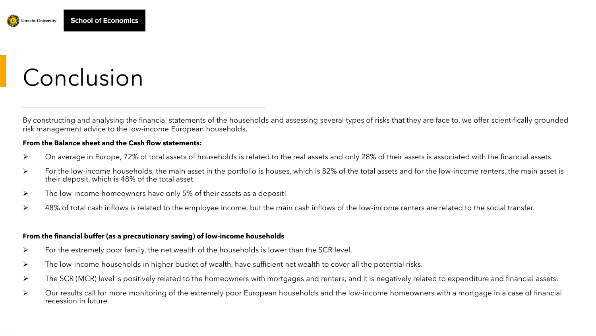

# Conclusion

By constructing and analysing the financial statements of the households and assessing several types of risks that they are face to, we offer scientifically grounded risk management advice to the low-income European households.

#### **From the Balance sheet and the Cash flow statements:**

- ➢ On average in Europe, 72% of total assets of households is related to the real assets and only 28% of their assets is associated with the financial assets.
- ➢ For the low-income households, the main asset in the portfolio is houses, which is 82% of the total assets and for the low-income renters, the main asset is their deposit, which is 48% of the total asset.
- ➢ The low-income homeowners have only 5% of their assets as a deposit!
- ➢ 48% of total cash inflows is related to the employee income, but the main cash inflows of the low-income renters are related to the social transfer.

### **From the financial buffer (as a precautionary saving) of low-income households**

- $\triangleright$  For the extremely poor family, the net wealth of the households is lower than the SCR level,
- ➢ The low-income households in higher bucket of wealth, have sufficient net wealth to cover all the potential risks.
- ➢ The SCR (MCR) level is positively related to the homeowners with mortgages and renters, and it is negatively related to expenditure and financial assets.
- ➢ Our results call for more monitoring of the extremely poor European households and the low-income homeowners with a mortgage in a case of financial recession in future.